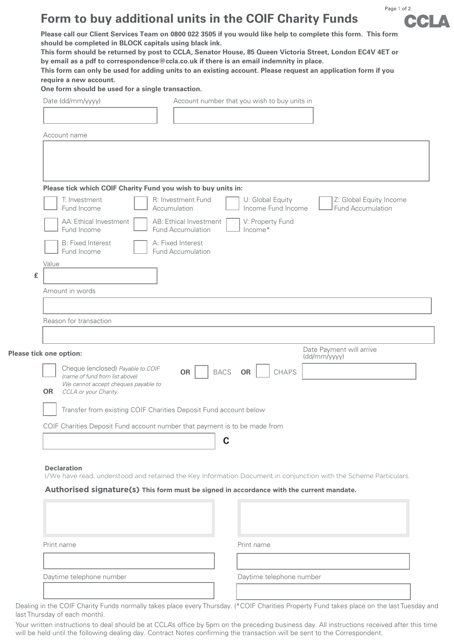## **Form to buy additional units in the COIF Charity Funds**



**Please call our Client Services Team on 0800 022 3505 if you would like help to complete this form. This form should be completed in BLOCK capitals using black ink.** 

**This form should be returned by post to CCLA, Senator House, 85 Queen Victoria Street, London EC4V 4ET or by email as a pdf to correspondence@ccla.co.uk if there is an email indemnity in place.**

**This form can only be used for adding units to an existing account. Please request an application form if you require a new account.** 

**One form should be used for a single transaction.** 

| Date (dd/mm/yyyy) |
|-------------------|
|                   |

Account number that you wish to buy units in

Account name

|            | T: Investment<br>Fund Income            | R: Investment Fund<br>Accumulation                 | U: Global Equity<br>Income Fund Income | Z: Global Equity Income<br>Fund Accumulation |
|------------|-----------------------------------------|----------------------------------------------------|----------------------------------------|----------------------------------------------|
|            | AA: Ethical Investment<br>Fund Income   | AB: Ethical Investment<br><b>Fund Accumulation</b> | V: Property Fund<br>Income*            |                                              |
|            | <b>B: Fixed Interest</b><br>Fund Income | A: Fixed Interest<br><b>Fund Accumulation</b>      |                                        |                                              |
| Value<br>£ |                                         |                                                    |                                        |                                              |
|            | Amount in words                         |                                                    |                                        |                                              |
|            | Reason for transaction                  |                                                    |                                        |                                              |

|                                                                            | e tick one option:                                                  | (dd/mm/yyyy)             |                    |  |  |  |
|----------------------------------------------------------------------------|---------------------------------------------------------------------|--------------------------|--------------------|--|--|--|
|                                                                            | Cheque (enclosed) Payable to COIF<br>(name of fund from list above) | <b>BACS</b><br><b>OR</b> | <b>OR</b><br>CHAPS |  |  |  |
| <b>OR</b>                                                                  | We cannot accept cheques payable to<br>CCLA or your Charity.        |                          |                    |  |  |  |
| Transfer from existing COIF Charities Deposit Fund account below           |                                                                     |                          |                    |  |  |  |
| COIF Charities Deposit Fund account number that payment is to be made from |                                                                     |                          |                    |  |  |  |
|                                                                            |                                                                     |                          |                    |  |  |  |

## **Declaration**

I/We have read, understood and retained the Key Information Document in conjunction with the Scheme Particulars.

## **Authorised signature(s) This form must be signed in accordance with the current mandate.**

| Print name               | Print name               |
|--------------------------|--------------------------|
| Daytime telephone number | Daytime telephone number |

Dealing in the COIF Charity Funds normally takes place every Thursday. (\*COIF Charities Property Fund takes place on the last Tuesday and last Thursday of each month).

Your written instructions to deal should be at CCLA's office by 5pm on the preceding business day. All instructions received after this time will be held until the following dealing day. Contract Notes confirming the transaction will be sent to the Correspondent.